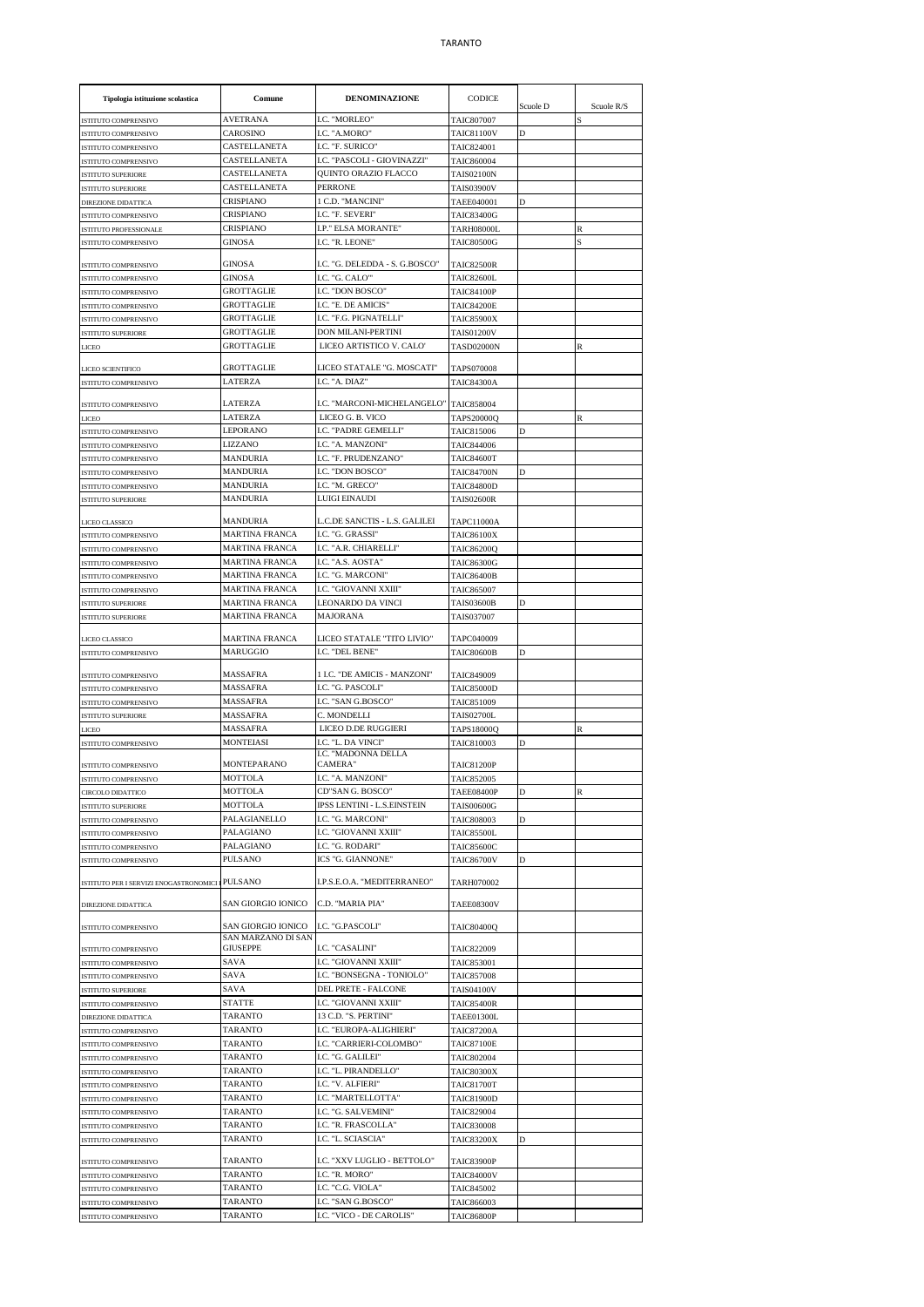## TARANTO

| Tipologia istituzione scolastica                  | Comune                                   | <b>DENOMINAZIONE</b>                             | <b>CODICE</b>                          | Scuole D | Scuole R/S |
|---------------------------------------------------|------------------------------------------|--------------------------------------------------|----------------------------------------|----------|------------|
| ISTITUTO COMPRENSIVO                              | <b>AVETRANA</b>                          | I.C. "MORLEO"                                    | <b>TAIC807007</b>                      |          | S          |
| ISTITUTO COMPRENSIVO                              | CAROSINO                                 | I.C. "A.MORO"                                    | <b>TAIC81100V</b>                      | D        |            |
| ISTITUTO COMPRENSIVO                              | CASTELLANETA                             | I.C. "F. SURICO"                                 | TAIC824001                             |          |            |
| ISTITUTO COMPRENSIVO                              | CASTELLANETA                             | I.C. "PASCOLI - GIOVINAZZI"                      | TAIC860004                             |          |            |
| <b>ISTITUTO SUPERIORE</b><br>ISTITUTO SUPERIORE   | CASTELLANETA<br>CASTELLANETA             | QUINTO ORAZIO FLACCO<br><b>PERRONE</b>           | <b>TAIS02100N</b><br><b>TAIS03900V</b> |          |            |
| <b>DIREZIONE DIDATTICA</b>                        | <b>CRISPIANO</b>                         | 1 C.D. "MANCINI"                                 | TAEE040001                             | D        |            |
| ISTITUTO COMPRENSIVO                              | CRISPIANO                                | I.C. "F. SEVERI"                                 | <b>TAIC83400G</b>                      |          |            |
| ISTITUTO PROFESSIONALE                            | CRISPIANO                                | I.P." ELSA MORANTE"                              | <b>TARH08000L</b>                      |          | R          |
| ISTITUTO COMPRENSIVO                              | GINOSA                                   | I.C. "R. LEONE"                                  | <b>TAIC80500G</b>                      |          | S          |
| <b>ISTITUTO COMPRENSIVO</b>                       | <b>GINOSA</b>                            | I.C. "G. DELEDDA - S. G.BOSCO"                   | <b>TAIC82500R</b>                      |          |            |
| ISTITUTO COMPRENSIVO                              | <b>GINOSA</b>                            | I.C. "G. CALO"                                   | <b>TAIC82600L</b>                      |          |            |
| ISTITUTO COMPRENSIVO                              | <b>GROTTAGLIE</b>                        | <b>I.C. "DON BOSCO"</b>                          | <b>TAIC84100P</b>                      |          |            |
| ISTITUTO COMPRENSIVO<br>ISTITUTO COMPRENSIVO      | GROTTAGLIE<br><b>GROTTAGLIE</b>          | I.C. "E. DE AMICIS"<br>I.C. "F.G. PIGNATELLI"    | <b>TAIC84200E</b><br><b>TAIC85900X</b> |          |            |
| ISTITUTO SUPERIORE                                | GROTTAGLIE                               | DON MILANI-PERTINI                               | <b>TAIS01200V</b>                      |          |            |
| LICEO                                             | <b>GROTTAGLIE</b>                        | LICEO ARTISTICO V. CALO'                         | <b>TASD02000N</b>                      |          | R          |
|                                                   |                                          |                                                  |                                        |          |            |
| LICEO SCIENTIFICO                                 | <b>GROTTAGLIE</b>                        | LICEO STATALE "G. MOSCATI"                       | <b>TAPS070008</b>                      |          |            |
| ISTITUTO COMPRENSIVO                              | LATERZA                                  | I.C. "A. DIAZ"                                   | <b>TAIC84300A</b>                      |          |            |
| ISTITUTO COMPRENSIVO                              | LATERZA                                  | I.C. "MARCONI-MICHELANGELO" TAIC858004           |                                        |          |            |
| <b>LICEO</b>                                      | <b>LATERZA</b>                           | LICEO G. B. VICO                                 | <b>TAPS20000Q</b>                      |          | R          |
| ISTITUTO COMPRENSIVO                              | <b>LEPORANO</b>                          | I.C. "PADRE GEMELLI"                             | TAIC815006                             | D        |            |
| ISTITUTO COMPRENSIVO                              | LIZZANO                                  | I.C. "A. MANZONI"                                | TAIC844006                             |          |            |
| ISTITUTO COMPRENSIVO                              | MANDURIA                                 | I.C. "F. PRUDENZANO"                             | <b>TAIC84600T</b>                      |          |            |
| ISTITUTO COMPRENSIVO                              | <b>MANDURIA</b>                          | I.C. "DON BOSCO"                                 | <b>TAIC84700N</b>                      | D        |            |
| ISTITUTO COMPRENSIVO                              | <b>MANDURIA</b>                          | I.C. "M. GRECO"                                  | <b>TAIC84800D</b>                      |          |            |
| <b>ISTITUTO SUPERIORE</b>                         | <b>MANDURIA</b>                          | LUIGI EINAUDI                                    | <b>TAIS02600R</b>                      |          |            |
| LICEO CLASSICO                                    | MANDURIA                                 | L.C.DE SANCTIS - L.S. GALILEI                    | <b>TAPC11000A</b>                      |          |            |
| ISTITUTO COMPRENSIVO                              | <b>MARTINA FRANCA</b>                    | I.C. "G. GRASSI"                                 | <b>TAIC86100X</b>                      |          |            |
| ISTITUTO COMPRENSIVO                              | MARTINA FRANCA                           | I.C. "A.R. CHIARELLI"                            | <b>TAIC86200Q</b>                      |          |            |
| ISTITUTO COMPRENSIVO                              | <b>MARTINA FRANCA</b>                    | I.C. "A.S. AOSTA"                                | <b>TAIC86300G</b>                      |          |            |
| ISTITUTO COMPRENSIVO                              | <b>MARTINA FRANCA</b>                    | I.C. "G. MARCONI"                                | <b>TAIC86400B</b>                      |          |            |
| ISTITUTO COMPRENSIVO                              | <b>MARTINA FRANCA</b>                    | <b>I.C. "GIOVANNI XXIII"</b>                     | TAIC865007                             |          |            |
| ISTITUTO SUPERIORE                                | MARTINA FRANCA<br><b>MARTINA FRANCA</b>  | LEONARDO DA VINCI<br><b>MAJORANA</b>             | <b>TAIS03600B</b><br>TAIS037007        | D        |            |
| ISTITUTO SUPERIORE                                |                                          |                                                  |                                        |          |            |
| LICEO CLASSICO                                    | <b>MARTINA FRANCA</b>                    | LICEO STATALE "TITO LIVIO"                       | TAPC040009                             |          |            |
| ISTITUTO COMPRENSIVO                              | <b>MARUGGIO</b>                          | I.C. "DEL BENE"                                  | <b>TAIC80600B</b>                      | D        |            |
| ISTITUTO COMPRENSIVO                              | MASSAFRA                                 | 1 I.C. "DE AMICIS - MANZONI"                     | TAIC849009                             |          |            |
| <b>ISTITUTO COMPRENSIVO</b>                       | MASSAFRA                                 | I.C. "G. PASCOLI"                                | <b>TAIC85000D</b>                      |          |            |
| ISTITUTO COMPRENSIVO                              | MASSAFRA                                 | I.C. "SAN G.BOSCO"                               | TAIC851009                             |          |            |
| <b>ISTITUTO SUPERIORE</b>                         | MASSAFRA                                 | C. MONDELLI                                      | <b>TAIS02700L</b>                      |          |            |
| LICEO                                             | <b>MASSAFRA</b>                          | LICEO D.DE RUGGIERI                              | <b>TAPS18000Q</b>                      |          | R          |
| ISTITUTO COMPRENSIVO                              | MONTEIASI                                | I.C. "L. DA VINCI"                               | TAIC810003                             | D        |            |
| ISTITUTO COMPRENSIVO                              | MONTEPARANO                              | I.C. "MADONNA DELLA<br>CAMERA"                   | <b>TAIC81200P</b>                      |          |            |
| <b>ISTITUTO COMPRENSIVO</b>                       | <b>MOTTOLA</b>                           | <b>I.C. "A. MANZONI"</b>                         | TAIC852005                             |          |            |
| CIRCOLO DIDATTICO                                 | MOTTOLA                                  | CD"SAN G. BOSCO"                                 | <b>TAEE08400P</b>                      | D        | R          |
| <b>ISTITUTO SUPERIORE</b>                         | MOTTOLA                                  | IPSS LENTINI - L.S.EINSTEIN                      | <b>TAIS00600G</b>                      |          |            |
| ISTITUTO COMPRENSIVO                              | PALAGIANELLO                             | I.C. "G. MARCONI"                                | TAIC808003                             | D        |            |
| ISTITUTO COMPRENSIVO                              | PALAGIANO                                | I.C. "GIOVANNI XXIII"                            | <b>TAIC85500L</b>                      |          |            |
| ISTITUTO COMPRENSIVO                              | PALAGIANO                                | I.C. "G. RODARI"                                 | TAIC85600C                             |          |            |
| ISTITUTO COMPRENSIVO                              | PULSANO                                  | ICS "G. GIANNONE"                                | <b>TAIC86700V</b>                      | D        |            |
| ISTITUTO PER I SERVIZI ENOGASTRONOMICI I PULSANO  |                                          | I.P.S.E.O.A. "MEDITERRANEO"                      | TARH070002                             |          |            |
| DIREZIONE DIDATTICA                               | SAN GIORGIO IONICO                       | C.D. "MARIA PIA"                                 | <b>TAEE08300V</b>                      |          |            |
| ISTITUTO COMPRENSIVO                              | SAN GIORGIO IONICO<br>SAN MARZANO DI SAN | I.C. "G.PASCOLI"                                 | <b>TAIC80400Q</b>                      |          |            |
| ISTITUTO COMPRENSIVO                              | <b>GIUSEPPE</b>                          | I.C. "CASALINI"                                  | TAIC822009                             |          |            |
| ISTITUTO COMPRENSIVO                              | <b>SAVA</b>                              | <b>I.C. "GIOVANNI XXIII"</b>                     | TAIC853001                             |          |            |
| ISTITUTO COMPRENSIVO<br><b>ISTITUTO SUPERIORE</b> | SAVA<br>SAVA                             | I.C. "BONSEGNA - TONIOLO"<br>DEL PRETE - FALCONE | TAIC857008<br><b>TAIS04100V</b>        |          |            |
| ISTITUTO COMPRENSIVO                              | STATTE                                   | I.C. "GIOVANNI XXIII"                            | <b>TAIC85400R</b>                      |          |            |
| DIREZIONE DIDATTICA                               | TARANTO                                  | 13 C.D. "S. PERTINI"                             | TAEE01300L                             |          |            |
| ISTITUTO COMPRENSIVO                              | TARANTO                                  | I.C. "EUROPA-ALIGHIERI"                          | <b>TAIC87200A</b>                      |          |            |
| ISTITUTO COMPRENSIVO                              | TARANTO                                  | I.C. "CARRIERI-COLOMBO"                          | <b>TAIC87100E</b>                      |          |            |
| ISTITUTO COMPRENSIVO                              | <b>TARANTO</b>                           | I.C. "G. GALILEI"                                | TAIC802004                             |          |            |
| ISTITUTO COMPRENSIVO                              | TARANTO                                  | I.C. "L. PIRANDELLO"                             | <b>TAIC80300X</b>                      |          |            |
| ISTITUTO COMPRENSIVO                              | TARANTO                                  | I.C. "V. ALFIERI"                                | <b>TAIC81700T</b>                      |          |            |
| ISTITUTO COMPRENSIVO                              | TARANTO                                  | I.C. "MARTELLOTTA"                               | <b>TAIC81900D</b>                      |          |            |
| ISTITUTO COMPRENSIVO                              | TARANTO                                  | I.C. "G. SALVEMINI"                              | TAIC829004                             |          |            |
| ISTITUTO COMPRENSIVO                              | TARANTO<br>TARANTO                       | I.C. "R. FRASCOLLA"<br>I.C. "L. SCIASCIA"        | <b>TAIC830008</b><br><b>TAIC83200X</b> | D        |            |
| ISTITUTO COMPRENSIVO                              |                                          |                                                  |                                        |          |            |
| ISTITUTO COMPRENSIVO                              | TARANTO                                  | I.C. "XXV LUGLIO - BETTOLO"                      | <b>TAIC83900P</b>                      |          |            |
| ISTITUTO COMPRENSIVO                              | TARANTO                                  | I.C. "R. MORO"                                   | <b>TAIC84000V</b>                      |          |            |
| ISTITUTO COMPRENSIVO                              | <b>TARANTO</b>                           | I.C. "C.G. VIOLA"                                | TAIC845002                             |          |            |
| ISTITUTO COMPRENSIVO<br>ISTITUTO COMPRENSIVO      | TARANTO<br>TARANTO                       | I.C. "SAN G.BOSCO"<br>I.C. "VICO - DE CAROLIS"   | TAIC866003<br><b>TAIC86800P</b>        |          |            |